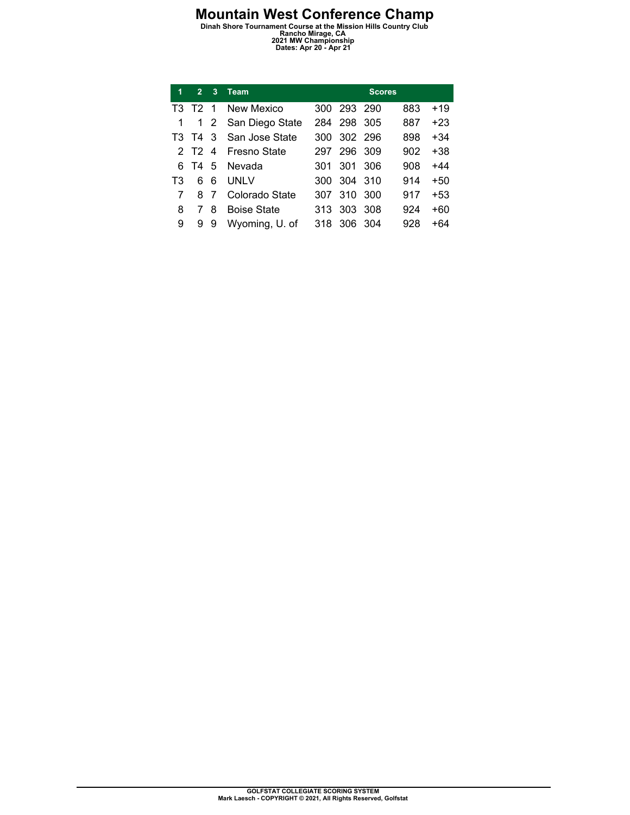**Mountain West Conference Champ**<br>
Dinah Shore Tournament Course at the Mission Hills Country Club<br>
2021 MW Championship<br>
Dates: Apr 20 - Apr 21

| 1  | $\overline{2}$ | 3 | <b>Team</b>         |      |             | <b>Scores</b> |     |       |
|----|----------------|---|---------------------|------|-------------|---------------|-----|-------|
|    | T3 T2 1        |   | New Mexico          | 300. | 293 290     |               | 883 | $+19$ |
|    |                |   | 1 2 San Diego State |      | 284 298     | -305          | 887 | $+23$ |
|    | T3 T4 3        |   | San Jose State      |      | 300 302 296 |               | 898 | $+34$ |
|    |                |   | 2 T2 4 Fresno State | 297  | 296         | 309           | 902 | +38   |
| 6. |                |   | T4 5 Nevada         | 301  | 301         | 306           | 908 | +44   |
| T3 | 6.             | 6 | UNI V               | 300. | 304 310     |               | 914 | $+50$ |
|    | 8              | 7 | Colorado State      | 307  | 310         | 300           | 917 | $+53$ |
| 8  |                | 8 | <b>Boise State</b>  | 313  | 303         | 308           | 924 | +60   |
| 9  | 9              | 9 | Wyoming, U. of      | 318  | 306         | -304          | 928 | +64   |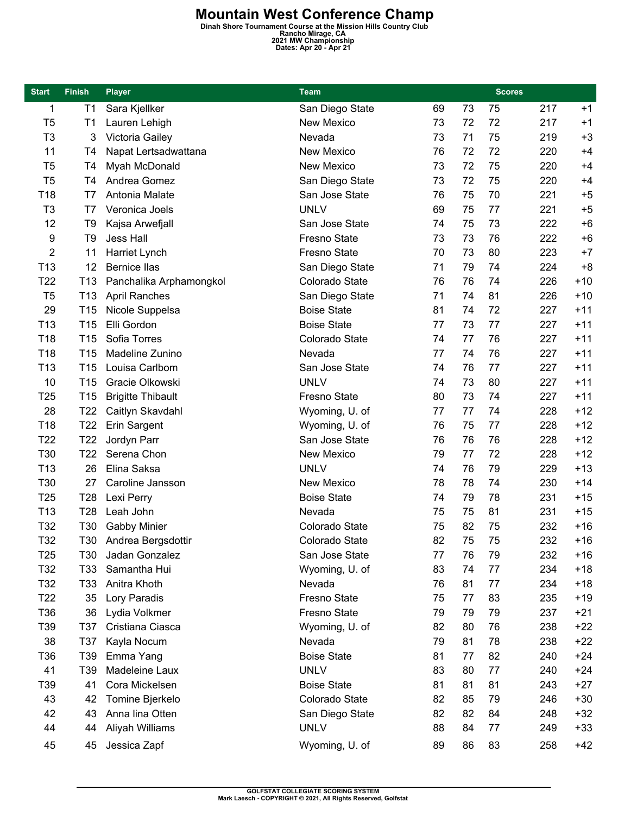**Mountain West Conference Champ**<br>
Dinah Shore Tournament Course at the Mission Hills Country Club<br>
2021 MW Championship<br>
Dates: Apr 20 - Apr 21

| <b>Start</b>    | <b>Finish</b>   | <b>Player</b>            | Team                |    |    | <b>Scores</b> |     |       |
|-----------------|-----------------|--------------------------|---------------------|----|----|---------------|-----|-------|
| 1               | T <sub>1</sub>  | Sara Kjellker            | San Diego State     | 69 | 73 | 75            | 217 | $+1$  |
| T <sub>5</sub>  | T <sub>1</sub>  | Lauren Lehigh            | <b>New Mexico</b>   | 73 | 72 | 72            | 217 | $+1$  |
| T <sub>3</sub>  | 3               | Victoria Gailey          | Nevada              | 73 | 71 | 75            | 219 | $+3$  |
| 11              | T4              | Napat Lertsadwattana     | <b>New Mexico</b>   | 76 | 72 | 72            | 220 | $+4$  |
| T <sub>5</sub>  | T <sub>4</sub>  | Myah McDonald            | <b>New Mexico</b>   | 73 | 72 | 75            | 220 | $+4$  |
| T <sub>5</sub>  | T <sub>4</sub>  | Andrea Gomez             | San Diego State     | 73 | 72 | 75            | 220 | $+4$  |
| T18             | T7              | Antonia Malate           | San Jose State      | 76 | 75 | 70            | 221 | $+5$  |
| T <sub>3</sub>  | T7              | Veronica Joels           | <b>UNLV</b>         | 69 | 75 | 77            | 221 | $+5$  |
| 12              | T <sub>9</sub>  | Kajsa Arwefjall          | San Jose State      | 74 | 75 | 73            | 222 | $+6$  |
| 9               | T <sub>9</sub>  | <b>Jess Hall</b>         | <b>Fresno State</b> | 73 | 73 | 76            | 222 | $+6$  |
| 2               | 11              | Harriet Lynch            | Fresno State        | 70 | 73 | 80            | 223 | $+7$  |
| T <sub>13</sub> | 12              | <b>Bernice llas</b>      | San Diego State     | 71 | 79 | 74            | 224 | $+8$  |
| T22             | T <sub>13</sub> | Panchalika Arphamongkol  | Colorado State      | 76 | 76 | 74            | 226 | $+10$ |
| T <sub>5</sub>  | T <sub>13</sub> | <b>April Ranches</b>     | San Diego State     | 71 | 74 | 81            | 226 | $+10$ |
| 29              | T <sub>15</sub> | Nicole Suppelsa          | <b>Boise State</b>  | 81 | 74 | 72            | 227 | $+11$ |
| T <sub>13</sub> | T <sub>15</sub> | Elli Gordon              | <b>Boise State</b>  | 77 | 73 | 77            | 227 | $+11$ |
| T18             | T <sub>15</sub> | Sofia Torres             | Colorado State      | 74 | 77 | 76            | 227 | $+11$ |
| T18             | T <sub>15</sub> | Madeline Zunino          | Nevada              | 77 | 74 | 76            | 227 | $+11$ |
| T <sub>13</sub> | T <sub>15</sub> | Louisa Carlbom           | San Jose State      | 74 | 76 | 77            | 227 | $+11$ |
| 10              | T <sub>15</sub> | Gracie Olkowski          | <b>UNLV</b>         | 74 | 73 | 80            | 227 | $+11$ |
| T <sub>25</sub> | T <sub>15</sub> | <b>Brigitte Thibault</b> | <b>Fresno State</b> | 80 | 73 | 74            | 227 | $+11$ |
| 28              | T <sub>22</sub> | Caitlyn Skavdahl         | Wyoming, U. of      | 77 | 77 | 74            | 228 | $+12$ |
| T18             | T <sub>22</sub> | Erin Sargent             | Wyoming, U. of      | 76 | 75 | 77            | 228 | $+12$ |
| T <sub>22</sub> | T <sub>22</sub> | Jordyn Parr              | San Jose State      | 76 | 76 | 76            | 228 | $+12$ |
| T30             | T <sub>22</sub> | Serena Chon              | New Mexico          | 79 | 77 | 72            | 228 | $+12$ |
| T <sub>13</sub> | 26              | Elina Saksa              | <b>UNLV</b>         | 74 | 76 | 79            | 229 | $+13$ |
| T30             | 27              | Caroline Jansson         | <b>New Mexico</b>   | 78 | 78 | 74            | 230 | $+14$ |
| T <sub>25</sub> | T <sub>28</sub> | Lexi Perry               | <b>Boise State</b>  | 74 | 79 | 78            | 231 | $+15$ |
| T <sub>13</sub> | T <sub>28</sub> | Leah John                | Nevada              | 75 | 75 | 81            | 231 | $+15$ |
| T32             | T30             | Gabby Minier             | Colorado State      | 75 | 82 | 75            | 232 | $+16$ |
| T32             | T30             | Andrea Bergsdottir       | Colorado State      | 82 | 75 | 75            | 232 | $+16$ |
| T <sub>25</sub> | T30             | Jadan Gonzalez           | San Jose State      | 77 | 76 | 79            | 232 | $+16$ |
| T32             | T33             | Samantha Hui             | Wyoming, U. of      | 83 | 74 | 77            | 234 | $+18$ |
| T32             | T <sub>33</sub> | Anitra Khoth             | Nevada              | 76 | 81 | 77            | 234 | $+18$ |
| T22             | 35              | Lory Paradis             | Fresno State        | 75 | 77 | 83            | 235 | $+19$ |
| T36             | 36              | Lydia Volkmer            | Fresno State        | 79 | 79 | 79            | 237 | $+21$ |
| T39             | <b>T37</b>      | Cristiana Ciasca         | Wyoming, U. of      | 82 | 80 | 76            | 238 | $+22$ |
| 38              | T37             | Kayla Nocum              | Nevada              | 79 | 81 | 78            | 238 | $+22$ |
| T36             | T39             | Emma Yang                | <b>Boise State</b>  | 81 | 77 | 82            | 240 | $+24$ |
| 41              | T39             | Madeleine Laux           | <b>UNLV</b>         | 83 | 80 | 77            | 240 | $+24$ |
| T39             | 41              | Cora Mickelsen           | <b>Boise State</b>  | 81 | 81 | 81            | 243 | $+27$ |
| 43              | 42              | Tomine Bjerkelo          | Colorado State      | 82 | 85 | 79            | 246 | $+30$ |
| 42              | 43              | Anna lina Otten          | San Diego State     | 82 | 82 | 84            | 248 | $+32$ |
| 44              | 44              | Aliyah Williams          | <b>UNLV</b>         | 88 | 84 | 77            | 249 | $+33$ |
| 45              | 45              | Jessica Zapf             | Wyoming, U. of      | 89 | 86 | 83            | 258 | $+42$ |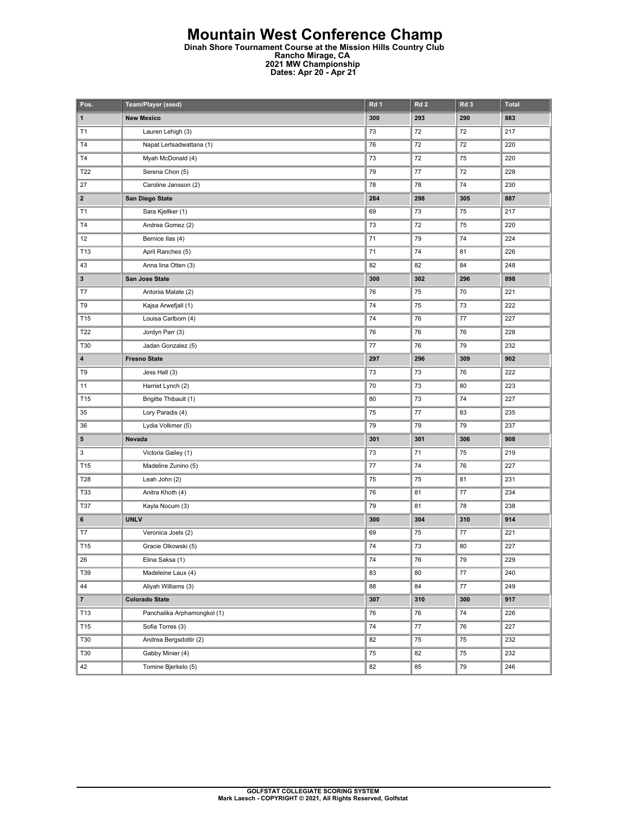#### **Mountain West Conference Champ**

**Dinah Shore Tournament Course at the Mission Hills Country Club Rancho Mirage, CA 2021 MW Championship Dates: Apr 20 - Apr 21** 

| Pos.                    | Team/Player (seed)          | Rd 1 | Rd <sub>2</sub> | Rd 3    | <b>Total</b> |
|-------------------------|-----------------------------|------|-----------------|---------|--------------|
| 1                       | <b>New Mexico</b>           | 300  | 293             | 290     | 883          |
| T <sub>1</sub>          | Lauren Lehigh (3)           | 73   | 72              | 72      | 217          |
| T4                      | Napat Lertsadwattana (1)    | 76   | 72              | 72      | 220          |
| <b>T4</b>               | Myah McDonald (4)           | 73   | 72              | 75      | 220          |
| T22                     | Serena Chon (5)             | 79   | 77              | 72      | 228          |
| 27                      | Caroline Jansson (2)        | 78   | 78              | 74      | 230          |
| $\overline{\mathbf{2}}$ | San Diego State             | 284  | 298             | 305     | 887          |
| T1                      | Sara Kjellker (1)           | 69   | 73              | 75      | 217          |
| T4                      | Andrea Gomez (2)            | 73   | 72              | 75      | 220          |
| 12                      | Bernice Ilas (4)            | 71   | 79              | 74      | 224          |
| T13                     | April Ranches (5)           | 71   | ${\bf 74}$      | 81      | 226          |
| 43                      | Anna lina Otten (3)         | 82   | 82              | 84      | 248          |
| 3                       | San Jose State              | 300  | 302             | 296     | 898          |
| T7                      | Antonia Malate (2)          | 76   | 75              | 70      | 221          |
| T9                      | Kajsa Arwefjall (1)         | 74   | 75              | 73      | 222          |
| T15                     | Louisa Carlbom (4)          | 74   | 76              | 77      | 227          |
| T22                     | Jordyn Parr (3)             | 76   | 76              | 76      | 228          |
| T30                     | Jadan Gonzalez (5)          | 77   | 76              | 79      | 232          |
| 4                       | <b>Fresno State</b>         | 297  | 296             | 309     | 902          |
| T9                      | Jess Hall (3)               | 73   | 73              | 76      | 222          |
| 11                      | Harriet Lynch (2)           | 70   | 73              | 80      | 223          |
| T15                     | Brigitte Thibault (1)       | 80   | 73              | 74      | 227          |
| 35                      | Lory Paradis (4)            | 75   | $77\,$          | 83      | 235          |
| 36                      | Lydia Volkmer (5)           | 79   | 79              | 79      | 237          |
| 5                       | Nevada                      | 301  | 301             | 306     | 908          |
| 3                       | Victoria Gailey (1)         | 73   | 71              | 75      | 219          |
| T15                     | Madeline Zunino (5)         | 77   | 74              | 76      | 227          |
| T28                     | Leah John (2)               | 75   | 75              | 81      | 231          |
| T33                     | Anitra Khoth (4)            | 76   | 81              | $77 \,$ | 234          |
| T37                     | Kayla Nocum (3)             | 79   | 81              | 78      | 238          |
| 6                       | <b>UNLV</b>                 | 300  | 304             | 310     | 914          |
| T7                      | Veronica Joels (2)          | 69   | 75              | 77      | 221          |
| T15                     | Gracie Olkowski (5)         | 74   | 73              | 80      | 227          |
| 26                      | Elina Saksa (1)             | 74   | 76              | 79      | 229          |
| T39                     | Madeleine Laux (4)          | 83   | 80              | 77      | 240          |
| 44                      | Aliyah Williams (3)         | 88   | 84              | $77\,$  | 249          |
| $\overline{7}$          | <b>Colorado State</b>       | 307  | 310             | 300     | 917          |
| T13                     | Panchalika Arphamongkol (1) | 76   | 76              | 74      | 226          |
| T15                     | Sofia Torres (3)            | 74   | 77              | 76      | 227          |
| T30                     | Andrea Bergsdottir (2)      | 82   | 75              | 75      | 232          |
| T30                     | Gabby Minier (4)            | 75   | 82              | 75      | 232          |
| 42                      | Tomine Bjerkelo (5)         | 82   | 85              | 79      | 246          |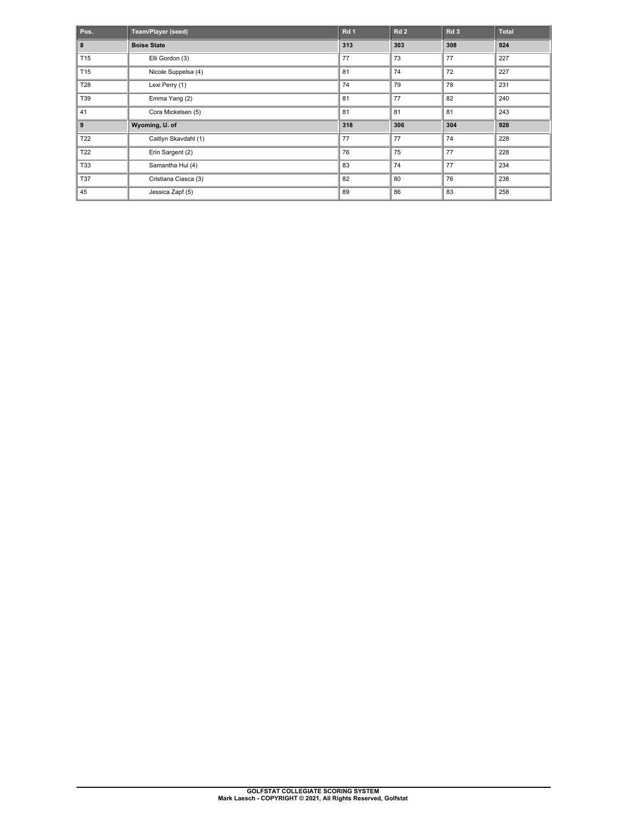| Pos.            | <b>Team/Player (seed)</b> | Rd <sub>1</sub> | <b>Rd 2</b> | Rd <sub>3</sub> | <b>Total</b> |
|-----------------|---------------------------|-----------------|-------------|-----------------|--------------|
| 8               | <b>Boise State</b>        | 313             | 303         | 308             | 924          |
| T <sub>15</sub> | Elli Gordon (3)           | 77              | 73          | 77              | 227          |
| T <sub>15</sub> | Nicole Suppelsa (4)       | 81              | 74          | 72              | 227          |
| T <sub>28</sub> | Lexi Perry (1)            | 74              | 79          | 78              | 231          |
| T39             | Emma Yang (2)             | 81              | 77          | 82              | 240          |
| 41              | Cora Mickelsen (5)        | 81              | 81          | 81              | 243          |
| 9               | Wyoming, U. of            | 318             | 306         | 304             | 928          |
| T22             | Caitlyn Skavdahl (1)      | 77              | 77          | 74              | 228          |
| T22             | Erin Sargent (2)          | 76              | 75          | 77              | 228          |
| <b>T33</b>      | Samantha Hui (4)          | 83              | 74          | 77              | 234          |
| <b>T37</b>      | Cristiana Ciasca (3)      | 82              | 80          | 76              | 238          |
| 45              | Jessica Zapf (5)          | 89              | 86          | 83              | 258          |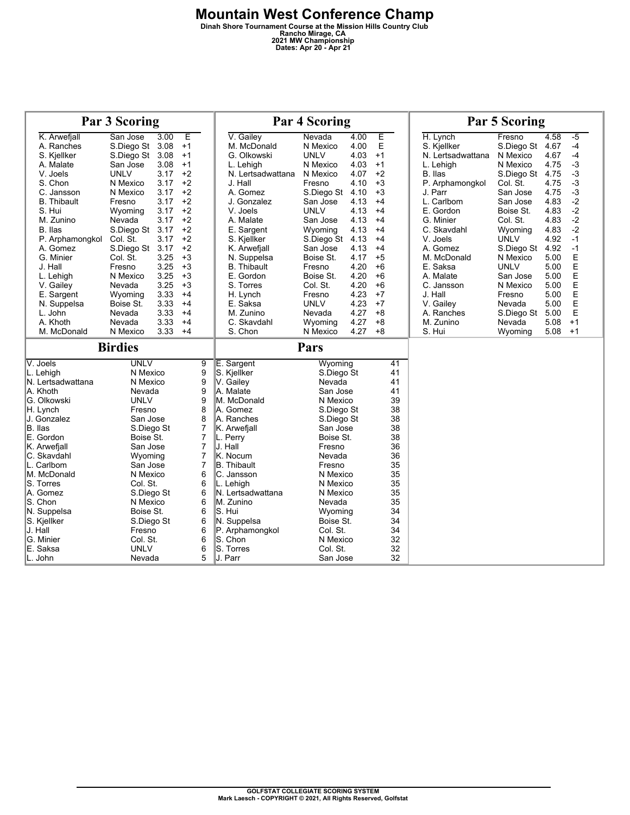# **Mountain West Conference Champ**<br>
Dinah Shore Tournament Course at the Mission Hills Country Club<br>
2021 MW Championship<br>
Dates: Apr 20 - Apr 21

| Par 3 Scoring                                                                                                                                                                                                                                                                                         |                                                                                                                                                                                                                                                                              |                                                                                      |                                                                                                                         |                                                                                                                                                                                                                                                                                                                   | <b>Par 4 Scoring</b>                                                                                                                                                                                                                                             |                                                                                                      |                                                                                                                                               |                                                                                                                                                                      | <b>Par 5 Scoring</b>                                                                                                                                         |                                                                                                                                                                                |  |
|-------------------------------------------------------------------------------------------------------------------------------------------------------------------------------------------------------------------------------------------------------------------------------------------------------|------------------------------------------------------------------------------------------------------------------------------------------------------------------------------------------------------------------------------------------------------------------------------|--------------------------------------------------------------------------------------|-------------------------------------------------------------------------------------------------------------------------|-------------------------------------------------------------------------------------------------------------------------------------------------------------------------------------------------------------------------------------------------------------------------------------------------------------------|------------------------------------------------------------------------------------------------------------------------------------------------------------------------------------------------------------------------------------------------------------------|------------------------------------------------------------------------------------------------------|-----------------------------------------------------------------------------------------------------------------------------------------------|----------------------------------------------------------------------------------------------------------------------------------------------------------------------|--------------------------------------------------------------------------------------------------------------------------------------------------------------|--------------------------------------------------------------------------------------------------------------------------------------------------------------------------------|--|
| K. Arwefjall<br>A. Ranches<br>S. Kjellker<br>A. Malate<br>V. Joels<br>S. Chon                                                                                                                                                                                                                         | San Jose<br>S.Diego St<br>S.Diego St 3.08<br>San Jose<br><b>UNLV</b><br>N Mexico                                                                                                                                                                                             | 3.00<br>3.08<br>3.08<br>3.17<br>3.17                                                 | Έ<br>$+1$<br>$+1$<br>$+1$<br>$+2$<br>$+2$                                                                               | V. Gailey<br>M. McDonald<br>G. Olkowski<br>L. Lehigh<br>N. Lertsadwattana<br>J. Hall                                                                                                                                                                                                                              | Nevada<br>N Mexico<br><b>UNLV</b><br>N Mexico<br>N Mexico<br>Fresno                                                                                                                                                                                              | 4.00<br>4.00<br>4.03<br>4.03<br>4.07<br>4.10                                                         | Ε<br>E<br>$+1$<br>$+1$<br>$+2$<br>$+3$                                                                                                        | H. Lynch<br>S. Kiellker<br>N. Lertsadwattana<br>L. Lehigh<br>B. Ilas<br>P. Arphamongkol                                                                              | Fresno<br>S.Diego St<br>N Mexico<br>N Mexico<br>S.Diego St 4.75<br>Col. St.                                                                                  | 4.58<br>$-5$<br>$-4$<br>4.67<br>$-4$<br>4.67<br>$-3$<br>4.75<br>$-3$<br>$-3$<br>4.75                                                                                           |  |
| C. Jansson<br><b>B.</b> Thibault<br>S. Hui<br>M. Zunino<br>B. Ilas<br>P. Arphamongkol<br>A. Gomez<br>G. Minier<br>J. Hall<br>L. Lehigh<br>V. Gailey<br>E. Sargent<br>N. Suppelsa                                                                                                                      | N Mexico<br>Fresno<br>Wyoming<br>Nevada<br>S.Diego St 3.17<br>Col. St.<br>S.Diego St 3.17<br>Col. St.<br>Fresno<br>N Mexico<br>Nevada<br>Wyoming<br>Boise St.                                                                                                                | 3.17<br>3.17<br>3.17<br>3.17<br>3.17<br>3.25<br>3.25<br>3.25<br>3.25<br>3.33<br>3.33 | $+2$<br>$+2$<br>$+2$<br>$+2$<br>$+2$<br>$+2$<br>$+2$<br>$+3$<br>$+3$<br>$+3$<br>$+3$<br>$+4$<br>$+4$                    | A. Gomez<br>J. Gonzalez<br>V. Joels<br>A. Malate<br>E. Sargent<br>S. Kjellker<br>K. Arwefiall<br>N. Suppelsa<br><b>B.</b> Thibault<br>E. Gordon<br>S. Torres<br>H. Lynch<br>E. Saksa                                                                                                                              | S.Diego St<br>San Jose<br><b>UNLV</b><br>San Jose<br>Wyoming<br>S.Diego St<br>San Jose<br>Boise St.<br>Fresno<br>Boise St.<br>Col. St.<br>Fresno<br><b>UNLV</b>                                                                                                  | 4.10<br>4.13<br>4.13<br>4.13<br>4.13<br>4.13<br>4.13<br>4.17<br>4.20<br>4.20<br>4.20<br>4.23<br>4.23 | $+3$<br>$+4$<br>$+4$<br>$+4$<br>$+4$<br>$+4$<br>$+4$<br>$+5$<br>$+6$<br>$+6$<br>$+6$<br>$+7$<br>$+7$                                          | J. Parr<br>L. Carlbom<br>E. Gordon<br>G. Minier<br>C. Skavdahl<br>V. Joels<br>A. Gomez<br>M. McDonald<br>E. Saksa<br>A. Malate<br>C. Jansson<br>J. Hall<br>V. Gailey | San Jose<br>San Jose<br>Boise St.<br>Col. St.<br>Wyoming<br><b>UNLV</b><br>S.Diego St<br>N Mexico<br><b>UNLV</b><br>San Jose<br>N Mexico<br>Fresno<br>Nevada | $-3$<br>4.75<br>$-2$<br>4.83<br>$-2$<br>4.83<br>$-2$<br>4.83<br>$-2$<br>4.83<br>$-1$<br>4.92<br>$-1$<br>4.92<br>E<br>E<br>5.00<br>5.00<br>EEEE<br>5.00<br>5.00<br>5.00<br>5.00 |  |
| L. John<br>A. Khoth<br>M. McDonald                                                                                                                                                                                                                                                                    | Nevada<br>Nevada<br>N Mexico<br><b>Birdies</b>                                                                                                                                                                                                                               | 3.33<br>3.33<br>3.33                                                                 | $+4$<br>$+4$<br>$+4$                                                                                                    | M. Zunino<br>C. Skavdahl<br>S. Chon                                                                                                                                                                                                                                                                               | Nevada<br>Wyoming<br>N Mexico<br>Pars                                                                                                                                                                                                                            | 4.27<br>4.27<br>4.27                                                                                 | $+8$<br>$+8$<br>$+8$                                                                                                                          | A. Ranches<br>M. Zunino<br>S. Hui                                                                                                                                    | S.Diego St<br>Nevada<br>Wyoming                                                                                                                              | E<br>5.00<br>5.08<br>$+1$<br>5.08<br>$+1$                                                                                                                                      |  |
| V. Joels<br>L. Lehigh<br>N. Lertsadwattana<br>A. Khoth<br>G. Olkowski<br>H. Lynch<br>J. Gonzalez<br>B. Ilas<br>E. Gordon<br>K. Arwefiall<br>C. Skavdahl<br>L. Carlbom<br>M. McDonald<br>S. Torres<br>A. Gomez<br>S. Chon<br>N. Suppelsa<br>S. Kjellker<br>J. Hall<br>G. Minier<br>E. Saksa<br>L. John | <b>UNLV</b><br>N Mexico<br>N Mexico<br>Nevada<br><b>UNLV</b><br>Fresno<br>San Jose<br>S.Diego St<br>Boise St.<br>San Jose<br>Wyoming<br>San Jose<br>N Mexico<br>Col. St.<br>S.Diego St<br>N Mexico<br>Boise St.<br>S.Diego St<br>Fresno<br>Col. St.<br><b>UNLV</b><br>Nevada |                                                                                      | 9<br>9<br>9<br>9<br>9<br>8<br>8<br>7<br>7<br>7<br>7<br>$\overline{7}$<br>6<br>6<br>6<br>6<br>6<br>6<br>6<br>6<br>6<br>5 | E. Sargent<br>S. Kjellker<br>V. Gailev<br>A. Malate<br>M. McDonald<br>A. Gomez<br>A. Ranches<br>K. Arwefiall<br>L. Perry<br>J. Hall<br>K. Nocum<br><b>B.</b> Thibault<br>C. Jansson<br>L. Lehigh<br>N. Lertsadwattana<br>M. Zunino<br>S. Hui<br>N. Suppelsa<br>P. Arphamongkol<br>S. Chon<br>S. Torres<br>J. Parr | Wyoming<br>S.Diego St<br>Nevada<br>San Jose<br>N Mexico<br>S.Diego St<br>S.Diego St<br>San Jose<br>Boise St.<br>Fresno<br>Nevada<br>Fresno<br>N Mexico<br>N Mexico<br>N Mexico<br>Nevada<br>Wyoming<br>Boise St.<br>Col. St.<br>N Mexico<br>Col. St.<br>San Jose |                                                                                                      | $\overline{41}$<br>41<br>41<br>41<br>39<br>38<br>38<br>38<br>38<br>36<br>36<br>35<br>35<br>35<br>35<br>35<br>34<br>34<br>34<br>32<br>32<br>32 |                                                                                                                                                                      |                                                                                                                                                              |                                                                                                                                                                                |  |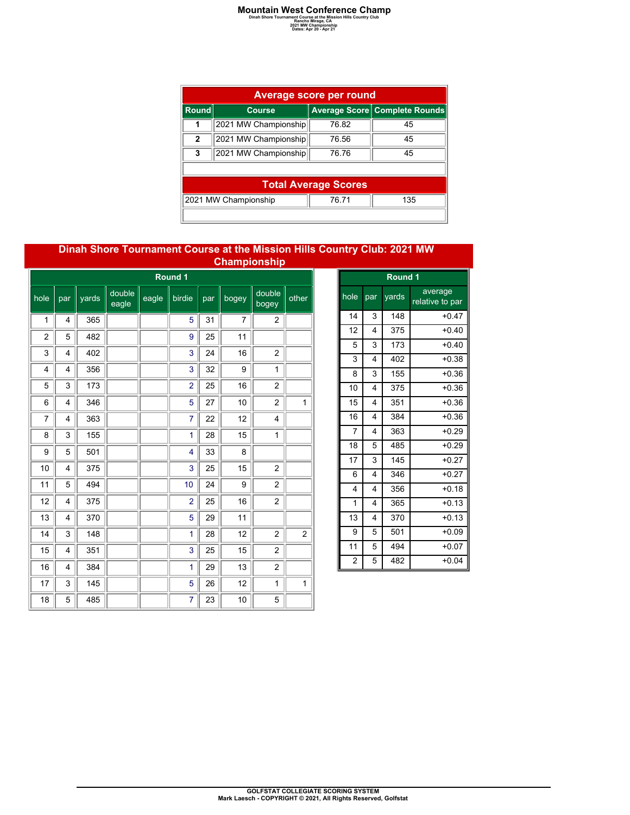| <b>Average score per round</b> |                                      |                             |                               |  |  |  |  |  |  |  |
|--------------------------------|--------------------------------------|-----------------------------|-------------------------------|--|--|--|--|--|--|--|
| Round                          | <b>Course</b>                        |                             | Average Score Complete Rounds |  |  |  |  |  |  |  |
| 1                              | 2021 MW Championship                 | 76.82                       | 45                            |  |  |  |  |  |  |  |
| $\mathbf{2}$                   | 2021 MW Championship                 | 76.56                       | 45                            |  |  |  |  |  |  |  |
| 3                              | 2021 MW Championship                 | 76.76                       | 45                            |  |  |  |  |  |  |  |
|                                |                                      |                             |                               |  |  |  |  |  |  |  |
|                                |                                      | <b>Total Average Scores</b> |                               |  |  |  |  |  |  |  |
|                                | 2021 MW Championship<br>76.71<br>135 |                             |                               |  |  |  |  |  |  |  |
|                                |                                      |                             |                               |  |  |  |  |  |  |  |

#### **Dinah Shore Tournament Course at the Mission Hills Country Club: 2021 MW Championship**

|         | Round 1 |       |                 |       |                |     |       |                 |                |
|---------|---------|-------|-----------------|-------|----------------|-----|-------|-----------------|----------------|
| $h$ ole | par     | yards | double<br>eagle | eagle | birdie         | par | bogey | double<br>bogey | other          |
| 1       | 4       | 365   |                 |       | 5              | 31  | 7     | 2               |                |
| 2       | 5       | 482   |                 |       | 9              | 25  | 11    |                 |                |
| 3       | 4       | 402   |                 |       | 3              | 24  | 16    | $\overline{2}$  |                |
| 4       | 4       | 356   |                 |       | 3              | 32  | 9     | 1               |                |
| 5       | 3       | 173   |                 |       | $\overline{2}$ | 25  | 16    | 2               |                |
| 6       | 4       | 346   |                 |       | 5              | 27  | 10    | $\overline{2}$  | 1              |
| 7       | 4       | 363   |                 |       | 7              | 22  | 12    | 4               |                |
| 8       | 3       | 155   |                 |       | 1              | 28  | 15    | 1               |                |
| 9       | 5       | 501   |                 |       | 4              | 33  | 8     |                 |                |
| 10      | 4       | 375   |                 |       | 3              | 25  | 15    | $\overline{2}$  |                |
| 11      | 5       | 494   |                 |       | 10             | 24  | 9     | $\overline{c}$  |                |
| 12      | 4       | 375   |                 |       | $\overline{2}$ | 25  | 16    | $\overline{2}$  |                |
| 13      | 4       | 370   |                 |       | 5              | 29  | 11    |                 |                |
| 14      | 3       | 148   |                 |       | 1              | 28  | 12    | $\overline{2}$  | $\overline{2}$ |
| 15      | 4       | 351   |                 |       | 3              | 25  | 15    | $\overline{2}$  |                |
| 16      | 4       | 384   |                 |       | 1              | 29  | 13    | $\overline{c}$  |                |
| 17      | 3       | 145   |                 |       | 5              | 26  | 12    | 1               | 1              |
| 18      | 5       | 485   |                 |       | 7              | 23  | 10    | 5               |                |

|                 | Round 1                 |       |                            |  |  |  |  |  |  |
|-----------------|-------------------------|-------|----------------------------|--|--|--|--|--|--|
| hole            | par                     | yards | average<br>relative to par |  |  |  |  |  |  |
| 14              | 3                       | 148   | $+0.47$                    |  |  |  |  |  |  |
| 12              | 4                       | 375   | $+0.40$                    |  |  |  |  |  |  |
| 5               | 3                       | 173   | $+0.40$                    |  |  |  |  |  |  |
| 3               | $\overline{\mathbf{4}}$ | 402   | $+0.38$                    |  |  |  |  |  |  |
| 8               | 3                       | 155   | $+0.36$                    |  |  |  |  |  |  |
| 10              | 4                       | 375   | $+0.36$                    |  |  |  |  |  |  |
| 15              | 4                       | 351   | $+0.36$                    |  |  |  |  |  |  |
| 16              | 4                       | 384   | $+0.36$                    |  |  |  |  |  |  |
| $\overline{7}$  | $\overline{\mathbf{4}}$ | 363   | $+0.29$                    |  |  |  |  |  |  |
| 18              | 5                       | 485   | $+0.29$                    |  |  |  |  |  |  |
| 17              | 3                       | 145   | $+0.27$                    |  |  |  |  |  |  |
| 6               | 4                       | 346   | $+0.27$                    |  |  |  |  |  |  |
| $\overline{4}$  | $\overline{\mathbf{4}}$ | 356   | $+0.18$                    |  |  |  |  |  |  |
| $\mathbf{1}$    | 4                       | 365   | $+0.13$                    |  |  |  |  |  |  |
| $\overline{13}$ | 4                       | 370   | $+0.13$                    |  |  |  |  |  |  |
| 9               | 5                       | 501   | $+0.09$                    |  |  |  |  |  |  |
| 11              | 5                       | 494   | $+0.07$                    |  |  |  |  |  |  |
| $\overline{2}$  | 5                       | 482   | $+0.04$                    |  |  |  |  |  |  |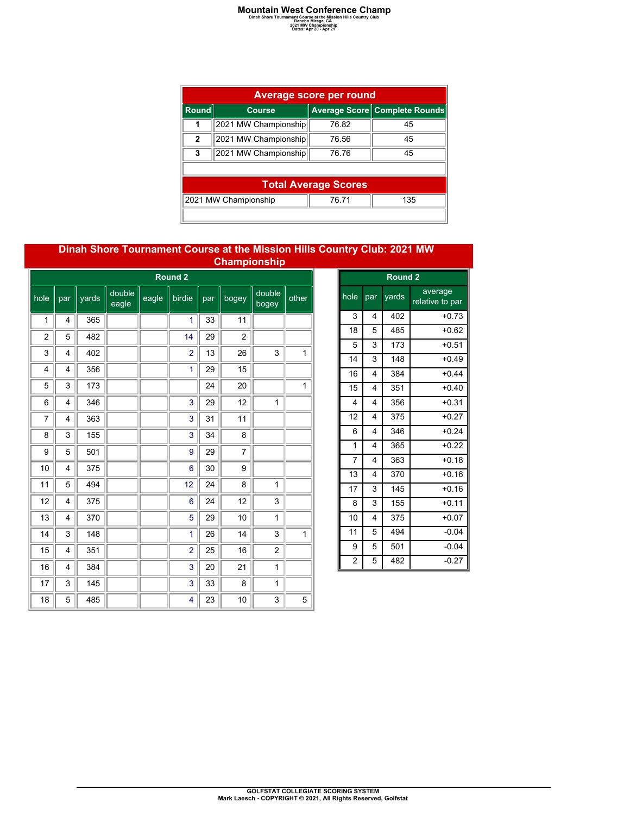| <b>Average score per round</b> |                                      |                             |                               |  |  |  |  |  |  |  |
|--------------------------------|--------------------------------------|-----------------------------|-------------------------------|--|--|--|--|--|--|--|
| Round                          | <b>Course</b>                        |                             | Average Score Complete Rounds |  |  |  |  |  |  |  |
| 1                              | 2021 MW Championship                 | 76.82                       | 45                            |  |  |  |  |  |  |  |
| $\mathbf{2}$                   | 2021 MW Championship                 | 76.56                       | 45                            |  |  |  |  |  |  |  |
| 3                              | 2021 MW Championship                 | 76.76                       | 45                            |  |  |  |  |  |  |  |
|                                |                                      |                             |                               |  |  |  |  |  |  |  |
|                                |                                      | <b>Total Average Scores</b> |                               |  |  |  |  |  |  |  |
|                                | 2021 MW Championship<br>76.71<br>135 |                             |                               |  |  |  |  |  |  |  |
|                                |                                      |                             |                               |  |  |  |  |  |  |  |

#### **Dinah Shore Tournament Course at the Mission Hills Country Club: 2021 MW Championship**

|                | والمناف والمتحافلات المندو<br>Round <sub>2</sub> |       |                 |       |                |     |                |                 |              |
|----------------|--------------------------------------------------|-------|-----------------|-------|----------------|-----|----------------|-----------------|--------------|
| $h$ ole        | par                                              | yards | double<br>eagle | eagle | birdie         | par | bogey          | double<br>bogey | other        |
| 1              | 4                                                | 365   |                 |       | 1              | 33  | 11             |                 |              |
| $\overline{2}$ | 5                                                | 482   |                 |       | 14             | 29  | $\overline{2}$ |                 |              |
| 3              | 4                                                | 402   |                 |       | $\overline{2}$ | 13  | 26             | 3               | $\mathbf{1}$ |
| 4              | 4                                                | 356   |                 |       | 1              | 29  | 15             |                 |              |
| 5              | 3                                                | 173   |                 |       |                | 24  | 20             |                 | 1            |
| 6              | 4                                                | 346   |                 |       | 3              | 29  | 12             | 1               |              |
| 7              | 4                                                | 363   |                 |       | 3              | 31  | 11             |                 |              |
| 8              | 3                                                | 155   |                 |       | 3              | 34  | 8              |                 |              |
| 9              | 5                                                | 501   |                 |       | 9              | 29  | $\overline{7}$ |                 |              |
| 10             | 4                                                | 375   |                 |       | 6              | 30  | 9              |                 |              |
| 11             | 5                                                | 494   |                 |       | 12             | 24  | 8              | 1               |              |
| 12             | 4                                                | 375   |                 |       | 6              | 24  | 12             | 3               |              |
| 13             | 4                                                | 370   |                 |       | 5              | 29  | 10             | 1               |              |
| 14             | 3                                                | 148   |                 |       | 1              | 26  | 14             | 3               | $\mathbf{1}$ |
| 15             | 4                                                | 351   |                 |       | $\overline{2}$ | 25  | 16             | 2               |              |
| 16             | 4                                                | 384   |                 |       | 3              | 20  | 21             | 1               |              |
| 17             | 3                                                | 145   |                 |       | 3              | 33  | 8              | 1               |              |
| 18             | 5                                                | 485   |                 |       | 4              | 23  | 10             | 3               | 5            |

|                         | Round <sub>2</sub> |       |                            |  |  |  |  |  |  |
|-------------------------|--------------------|-------|----------------------------|--|--|--|--|--|--|
| hole                    | par                | yards | average<br>relative to par |  |  |  |  |  |  |
| 3                       | 4                  | 402   | $+0.73$                    |  |  |  |  |  |  |
| 18                      | 5                  | 485   | $+0.62$                    |  |  |  |  |  |  |
| 5                       | 3                  | 173   | $+0.51$                    |  |  |  |  |  |  |
| 14                      | 3                  | 148   | $+0.49$                    |  |  |  |  |  |  |
| 16                      | $\overline{4}$     | 384   | $+0.44$                    |  |  |  |  |  |  |
| 15                      | 4                  | 351   | $+0.40$                    |  |  |  |  |  |  |
| $\overline{\mathbf{4}}$ | 4                  | 356   | $+0.31$                    |  |  |  |  |  |  |
| 12                      | 4                  | 375   | $+0.27$                    |  |  |  |  |  |  |
| 6                       | 4                  | 346   | $+0.24$                    |  |  |  |  |  |  |
| $\mathbf{1}$            | 4                  | 365   | $+0.22$                    |  |  |  |  |  |  |
| $\overline{7}$          | $\overline{4}$     | 363   | $+0.18$                    |  |  |  |  |  |  |
| 13                      | 4                  | 370   | $+0.16$                    |  |  |  |  |  |  |
| 17                      | 3                  | 145   | $+0.16$                    |  |  |  |  |  |  |
| 8                       | 3                  | 155   | $+0.11$                    |  |  |  |  |  |  |
| 10                      | 4                  | 375   | $+0.07$                    |  |  |  |  |  |  |
| 11                      | 5                  | 494   | $-0.04$                    |  |  |  |  |  |  |
| 9                       | 5                  | 501   | $-0.04$                    |  |  |  |  |  |  |
| $\overline{c}$          | 5                  | 482   | $-0.27$                    |  |  |  |  |  |  |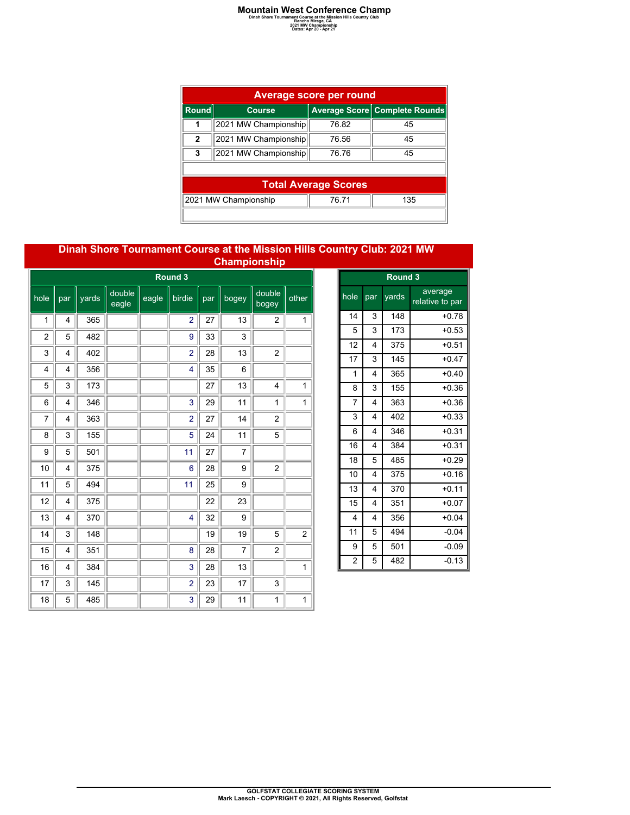| <b>Average score per round</b> |                                      |       |                               |  |  |  |  |  |  |  |  |
|--------------------------------|--------------------------------------|-------|-------------------------------|--|--|--|--|--|--|--|--|
| <b>Round</b>                   | <b>Course</b>                        |       | Average Score Complete Rounds |  |  |  |  |  |  |  |  |
| 1                              | 2021 MW Championship                 | 76.82 | 45                            |  |  |  |  |  |  |  |  |
| $\mathbf{2}$                   | 2021 MW Championship                 | 76.56 | 45                            |  |  |  |  |  |  |  |  |
| 3                              | 2021 MW Championship                 | 76.76 | 45                            |  |  |  |  |  |  |  |  |
|                                |                                      |       |                               |  |  |  |  |  |  |  |  |
|                                | <b>Total Average Scores</b>          |       |                               |  |  |  |  |  |  |  |  |
|                                | 2021 MW Championship<br>76.71<br>135 |       |                               |  |  |  |  |  |  |  |  |
|                                |                                      |       |                               |  |  |  |  |  |  |  |  |

#### **Dinah Shore Tournament Course at the Mission Hills Country Club: 2021 MW Championship**

| والمنافذ فالقطاف لقافة<br>Round 3 |     |       |                 |       |                |     |                |                 |                |  |
|-----------------------------------|-----|-------|-----------------|-------|----------------|-----|----------------|-----------------|----------------|--|
| hole                              | par | yards | double<br>eagle | eagle | birdie         | par | bogey          | double<br>bogey | other          |  |
| 1                                 | 4   | 365   |                 |       | $\overline{2}$ | 27  | 13             | $\overline{2}$  | 1              |  |
| $\overline{2}$                    | 5   | 482   |                 |       | 9              | 33  | 3              |                 |                |  |
| 3                                 | 4   | 402   |                 |       | $\overline{2}$ | 28  | 13             | $\overline{c}$  |                |  |
| 4                                 | 4   | 356   |                 |       | 4              | 35  | 6              |                 |                |  |
| 5                                 | 3   | 173   |                 |       |                | 27  | 13             | 4               | 1              |  |
| 6                                 | 4   | 346   |                 |       | 3              | 29  | 11             | 1               | 1              |  |
| 7                                 | 4   | 363   |                 |       | $\overline{2}$ | 27  | 14             | $\overline{2}$  |                |  |
| 8                                 | 3   | 155   |                 |       | 5              | 24  | 11             | 5               |                |  |
| 9                                 | 5   | 501   |                 |       | 11             | 27  | $\overline{7}$ |                 |                |  |
| 10                                | 4   | 375   |                 |       | $6\phantom{1}$ | 28  | 9              | $\overline{2}$  |                |  |
| 11                                | 5   | 494   |                 |       | 11             | 25  | 9              |                 |                |  |
| 12                                | 4   | 375   |                 |       |                | 22  | 23             |                 |                |  |
| 13                                | 4   | 370   |                 |       | $\overline{4}$ | 32  | 9              |                 |                |  |
| 14                                | 3   | 148   |                 |       |                | 19  | 19             | 5               | $\overline{2}$ |  |
| 15                                | 4   | 351   |                 |       | 8              | 28  | $\overline{7}$ | $\overline{2}$  |                |  |
| 16                                | 4   | 384   |                 |       | 3              | 28  | 13             |                 | 1              |  |
| 17                                | 3   | 145   |                 |       | $\overline{2}$ | 23  | 17             | 3               |                |  |
| 18                                | 5   | 485   |                 |       | 3              | 29  | 11             | 1               | 1              |  |

| Round <sub>3</sub> |                |     |                            |  |  |  |  |  |
|--------------------|----------------|-----|----------------------------|--|--|--|--|--|
| hole               | par            |     | average<br>relative to par |  |  |  |  |  |
| 14                 | 3              | 148 | $+0.78$                    |  |  |  |  |  |
| 5                  | 3              | 173 | $+0.53$                    |  |  |  |  |  |
| 12                 | 4              | 375 | $+0.51$                    |  |  |  |  |  |
| 17                 | 3              | 145 | $+0.47$                    |  |  |  |  |  |
| $\mathbf{1}$       | 4              | 365 | $+0.40$                    |  |  |  |  |  |
| 8                  | 3              | 155 | $+0.36$                    |  |  |  |  |  |
| $\overline{7}$     | $\overline{4}$ | 363 | $+0.36$                    |  |  |  |  |  |
| 3                  | 4              | 402 | $+0.33$                    |  |  |  |  |  |
| 6                  | 4              | 346 | $+0.31$                    |  |  |  |  |  |
| 16                 | 4              | 384 | $+0.31$                    |  |  |  |  |  |
| 18                 | 5              | 485 | $+0.29$                    |  |  |  |  |  |
| 10                 | 4              | 375 | $+0.16$                    |  |  |  |  |  |
| 13                 | 4              | 370 | $+0.11$                    |  |  |  |  |  |
| 15                 | 4              | 351 | $+0.07$                    |  |  |  |  |  |
| 4                  | 4              | 356 | $+0.04$                    |  |  |  |  |  |
| 11                 | 5              | 494 | $-0.04$                    |  |  |  |  |  |
| 9                  | 5              | 501 | $-0.09$                    |  |  |  |  |  |
| $\overline{c}$     | 5              | 482 | $-0.13$                    |  |  |  |  |  |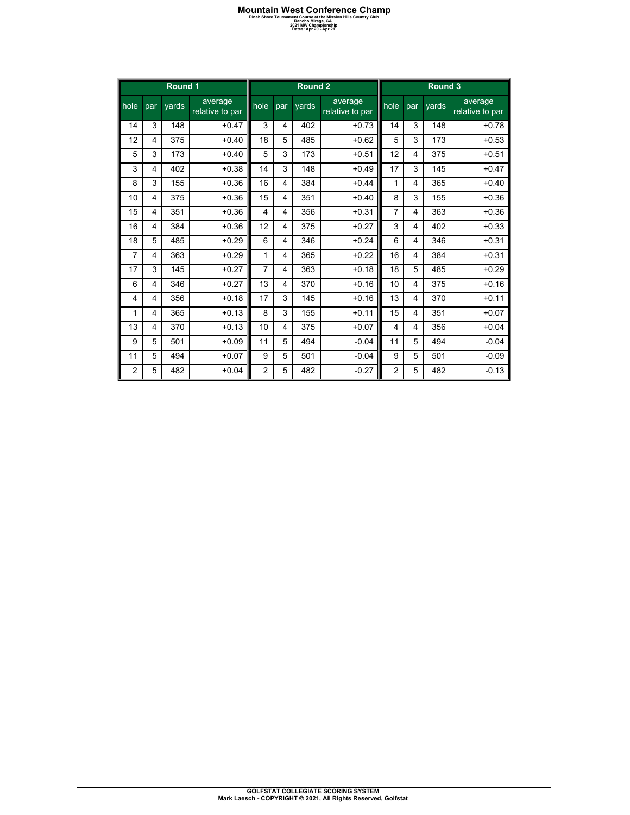| Round 1        |                         |       |                            | Round <sub>2</sub> |     |       |                            |                | Round 3 |       |                            |  |
|----------------|-------------------------|-------|----------------------------|--------------------|-----|-------|----------------------------|----------------|---------|-------|----------------------------|--|
| hole           | par                     | vards | average<br>relative to par | hole               | par | vards | average<br>relative to par | hole           | par     | vards | average<br>relative to par |  |
| 14             | 3                       | 148   | $+0.47$                    | 3                  | 4   | 402   | $+0.73$                    | 14             | 3       | 148   | $+0.78$                    |  |
| 12             | 4                       | 375   | $+0.40$                    | 18                 | 5   | 485   | $+0.62$                    | 5              | 3       | 173   | $+0.53$                    |  |
| 5              | 3                       | 173   | $+0.40$                    | 5                  | 3   | 173   | $+0.51$                    | 12             | 4       | 375   | $+0.51$                    |  |
| 3              | 4                       | 402   | $+0.38$                    | 14                 | 3   | 148   | $+0.49$                    | 17             | 3       | 145   | $+0.47$                    |  |
| 8              | 3                       | 155   | $+0.36$                    | 16                 | 4   | 384   | $+0.44$                    | 1              | 4       | 365   | $+0.40$                    |  |
| 10             | $\overline{4}$          | 375   | $+0.36$                    | 15                 | 4   | 351   | $+0.40$                    | 8              | 3       | 155   | $+0.36$                    |  |
| 15             | 4                       | 351   | $+0.36$                    | 4                  | 4   | 356   | $+0.31$                    | 7              | 4       | 363   | $+0.36$                    |  |
| 16             | $\overline{\mathbf{4}}$ | 384   | $+0.36$                    | 12                 | 4   | 375   | $+0.27$                    | 3              | 4       | 402   | $+0.33$                    |  |
| 18             | 5                       | 485   | $+0.29$                    | 6                  | 4   | 346   | $+0.24$                    | 6              | 4       | 346   | $+0.31$                    |  |
| 7              | 4                       | 363   | $+0.29$                    | 1                  | 4   | 365   | $+0.22$                    | 16             | 4       | 384   | $+0.31$                    |  |
| 17             | 3                       | 145   | $+0.27$                    | $\overline{7}$     | 4   | 363   | $+0.18$                    | 18             | 5       | 485   | $+0.29$                    |  |
| 6              | 4                       | 346   | $+0.27$                    | 13                 | 4   | 370   | $+0.16$                    | 10             | 4       | 375   | $+0.16$                    |  |
| 4              | 4                       | 356   | $+0.18$                    | 17                 | 3   | 145   | $+0.16$                    | 13             | 4       | 370   | $+0.11$                    |  |
| 1              | 4                       | 365   | $+0.13$                    | 8                  | 3   | 155   | $+0.11$                    | 15             | 4       | 351   | $+0.07$                    |  |
| 13             | $\overline{\mathbf{4}}$ | 370   | $+0.13$                    | 10                 | 4   | 375   | $+0.07$                    | 4              | 4       | 356   | $+0.04$                    |  |
| 9              | 5                       | 501   | $+0.09$                    | 11                 | 5   | 494   | $-0.04$                    | 11             | 5       | 494   | $-0.04$                    |  |
| 11             | 5                       | 494   | $+0.07$                    | 9                  | 5   | 501   | $-0.04$                    | 9              | 5       | 501   | $-0.09$                    |  |
| $\overline{2}$ | 5                       | 482   | $+0.04$                    | $\overline{2}$     | 5   | 482   | $-0.27$                    | $\overline{2}$ | 5       | 482   | $-0.13$                    |  |